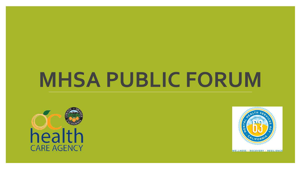# **MHSA PUBLIC FORUM**



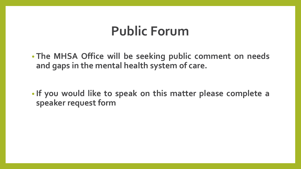#### **Public Forum**

• **The MHSA Office will be seeking public comment on needs and gaps in the mental health system of care.**

• **If you would like to speak on this matter please complete a speaker request form**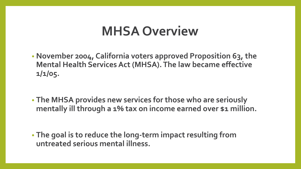#### **MHSA Overview**

- **November 2004, California voters approved Proposition 63, the Mental Health Services Act (MHSA). The law became effective 1/1/05.**
- **The MHSA provides new services for those who are seriously mentally ill through a 1% tax on income earned over \$1 million.**

• **The goal is to reduce the long-term impact resulting from untreated serious mental illness.**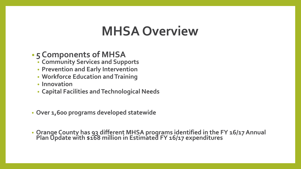### **MHSA Overview**

#### • **5 Components of MHSA**

- **Community Services and Supports**
- **Prevention and Early Intervention**
- **Workforce Education and Training**
- **Innovation**
- **Capital Facilities and Technological Needs**
- **Over 1,600 programs developed statewide**
- **Orange County has 93 different MHSA programs identified in the FY 16/17 Annual Plan Update with \$168 million in Estimated FY 16/17 expenditures**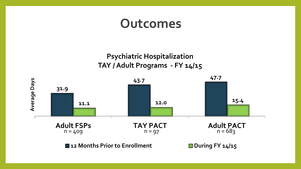#### **Outcomes**

**Psychiatric Hospitalization TAY / Adult Programs - FY 14/15**

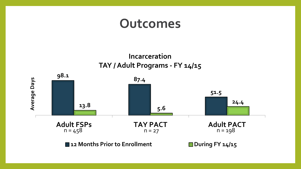#### **Outcomes**



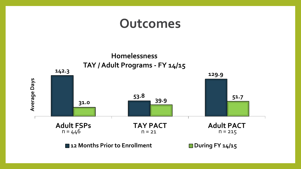#### **Outcomes**

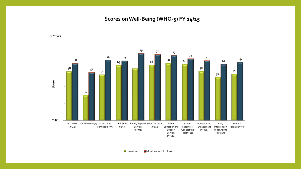**Scores on Well-Being (WHO-5) FY 14/15**

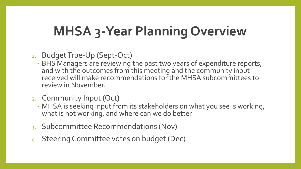## **MHSA 3-Year Planning Overview**

- 1. Budget True-Up (Sept-Oct)
	- BHS Managers are reviewing the past two years of expenditure reports, and with the outcomes from this meeting and the community input received will make recommendations for the MHSA subcommittees to review in November.
- 2. Community Input (Oct)
	- MHSA is seeking input from its stakeholders on what you see is working, what is not working, and where can we do better
- 3. Subcommittee Recommendations (Nov)
- 4. Steering Committee votes on budget (Dec)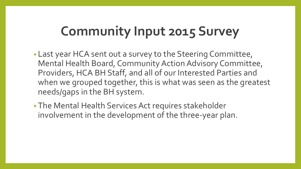## **Community Input 2015 Survey**

- Last year HCA sent out a survey to the Steering Committee, Mental Health Board, Community Action Advisory Committee, Providers, HCA BH Staff, and all of our Interested Parties and when we grouped together, this is what was seen as the greatest needs/gaps in the BH system.
- The Mental Health Services Act requires stakeholder involvement in the development of the three-year plan.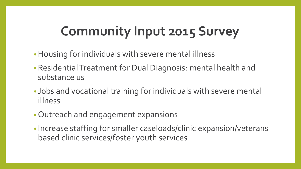## **Community Input 2015 Survey**

- •Housing for individuals with severe mental illness
- Residential Treatment for Dual Diagnosis: mental health and substance us
- Jobs and vocational training for individuals with severe mental illness
- Outreach and engagement expansions
- Increase staffing for smaller caseloads/clinic expansion/veterans based clinic services/foster youth services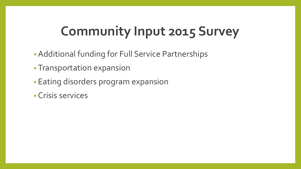## **Community Input 2015 Survey**

- Additional funding for Full Service Partnerships
- Transportation expansion
- Eating disorders program expansion
- Crisis services